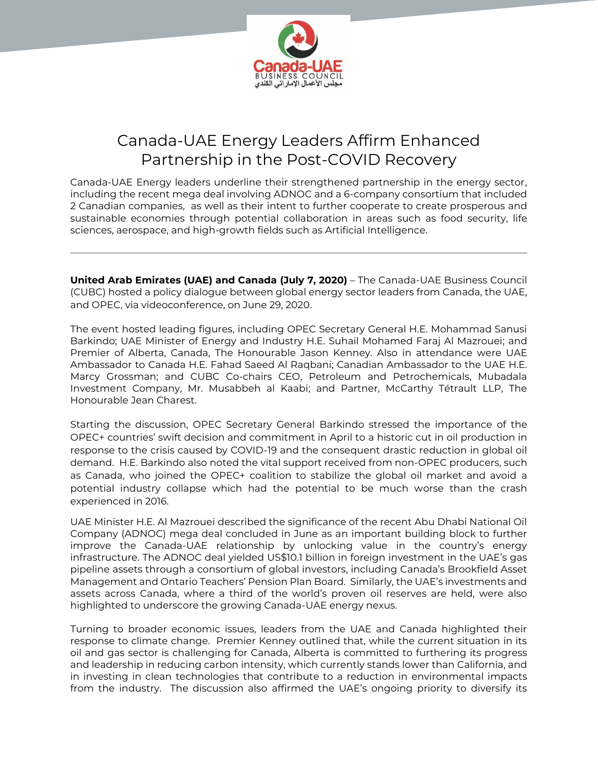

# Canada-UAE Energy Leaders Affirm Enhanced Partnership in the Post-COVID Recovery

Canada-UAE Energy leaders underline their strengthened partnership in the energy sector, including the recent mega deal involving ADNOC and a 6-company consortium that included 2 Canadian companies, as well as their intent to further cooperate to create prosperous and sustainable economies through potential collaboration in areas such as food security, life sciences, aerospace, and high-growth fields such as Artificial Intelligence.

**United Arab Emirates (UAE) and Canada (July 7, 2020)** – The Canada-UAE Business Council (CUBC) hosted a policy dialogue between global energy sector leaders from Canada, the UAE, and OPEC, via videoconference, on June 29, 2020.

The event hosted leading figures, including OPEC Secretary General H.E. Mohammad Sanusi Barkindo; UAE Minister of Energy and Industry H.E. Suhail Mohamed Faraj Al Mazrouei; and Premier of Alberta, Canada, The Honourable Jason Kenney. Also in attendance were UAE Ambassador to Canada H.E. Fahad Saeed Al Raqbani; Canadian Ambassador to the UAE H.E. Marcy Grossman; and CUBC Co-chairs CEO, Petroleum and Petrochemicals, Mubadala Investment Company, Mr. Musabbeh al Kaabi; and Partner, McCarthy Tétrault LLP, The Honourable Jean Charest.

Starting the discussion, OPEC Secretary General Barkindo stressed the importance of the OPEC+ countries' swift decision and commitment in April to a historic cut in oil production in response to the crisis caused by COVID-19 and the consequent drastic reduction in global oil demand. H.E. Barkindo also noted the vital support received from non-OPEC producers, such as Canada, who joined the OPEC+ coalition to stabilize the global oil market and avoid a potential industry collapse which had the potential to be much worse than the crash experienced in 2016.

UAE Minister H.E. Al Mazrouei described the significance of the recent Abu Dhabi National Oil Company (ADNOC) mega deal concluded in June as an important building block to further improve the Canada-UAE relationship by unlocking value in the country's energy infrastructure. The ADNOC deal yielded US\$10.1 billion in foreign investment in the UAE's gas pipeline assets through a consortium of global investors, including Canada's Brookfield Asset Management and Ontario Teachers' Pension Plan Board. Similarly, the UAE's investments and assets across Canada, where a third of the world's proven oil reserves are held, were also highlighted to underscore the growing Canada-UAE energy nexus.

Turning to broader economic issues, leaders from the UAE and Canada highlighted their response to climate change. Premier Kenney outlined that, while the current situation in its oil and gas sector is challenging for Canada, Alberta is committed to furthering its progress and leadership in reducing carbon intensity, which currently stands lower than California, and in investing in clean technologies that contribute to a reduction in environmental impacts from the industry. The discussion also affirmed the UAE's ongoing priority to diversify its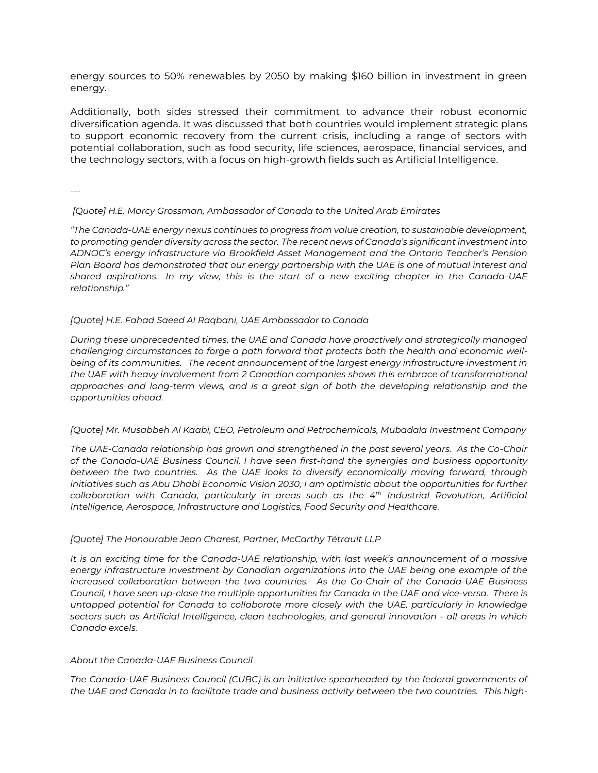energy sources to 50% renewables by 2050 by making \$160 billion in investment in green energy.

Additionally, both sides stressed their commitment to advance their robust economic diversification agenda. It was discussed that both countries would implement strategic plans to support economic recovery from the current crisis, including a range of sectors with potential collaboration, such as food security, life sciences, aerospace, financial services, and the technology sectors, with a focus on high-growth fields such as Artificial Intelligence.

---

## *[Quote] H.E. Marcy Grossman, Ambassador of Canada to the United Arab Emirates*

*"The Canada-UAE energy nexus continues to progress from value creation, to sustainable development, to promoting gender diversity across the sector. The recent news of Canada's significant investment into ADNOC's energy infrastructure via Brookfield Asset Management and the Ontario Teacher's Pension Plan Board has demonstrated that our energy partnership with the UAE is one of mutual interest and shared aspirations. In my view, this is the start of a new exciting chapter in the Canada-UAE relationship."*

#### *[Quote] H.E. Fahad Saeed Al Raqbani, UAE Ambassador to Canada*

*During these unprecedented times, the UAE and Canada have proactively and strategically managed challenging circumstances to forge a path forward that protects both the health and economic wellbeing of its communities. The recent announcement of the largest energy infrastructure investment in the UAE with heavy involvement from 2 Canadian companies shows this embrace of transformational approaches and long-term views, and is a great sign of both the developing relationship and the opportunities ahead.* 

#### *[Quote] Mr. Musabbeh Al Kaabi, CEO, Petroleum and Petrochemicals, Mubadala Investment Company*

*The UAE-Canada relationship has grown and strengthened in the past several years. As the Co-Chair of the Canada-UAE Business Council, I have seen first-hand the synergies and business opportunity between the two countries. As the UAE looks to diversify economically moving forward, through initiatives such as Abu Dhabi Economic Vision 2030, I am optimistic about the opportunities for further collaboration with Canada, particularly in areas such as the 4th Industrial Revolution, Artificial Intelligence, Aerospace, Infrastructure and Logistics, Food Security and Healthcare.* 

#### *[Quote] The Honourable Jean Charest, Partner, McCarthy Tétrault LLP*

*It is an exciting time for the Canada-UAE relationship, with last week's announcement of a massive energy infrastructure investment by Canadian organizations into the UAE being one example of the increased collaboration between the two countries. As the Co-Chair of the Canada-UAE Business Council, I have seen up-close the multiple opportunities for Canada in the UAE and vice-versa. There is untapped potential for Canada to collaborate more closely with the UAE, particularly in knowledge sectors such as Artificial Intelligence, clean technologies, and general innovation - all areas in which Canada excels.* 

## *About the Canada-UAE Business Council*

*The Canada-UAE Business Council (CUBC) is an initiative spearheaded by the federal governments of the UAE and Canada in to facilitate trade and business activity between the two countries. This high-*